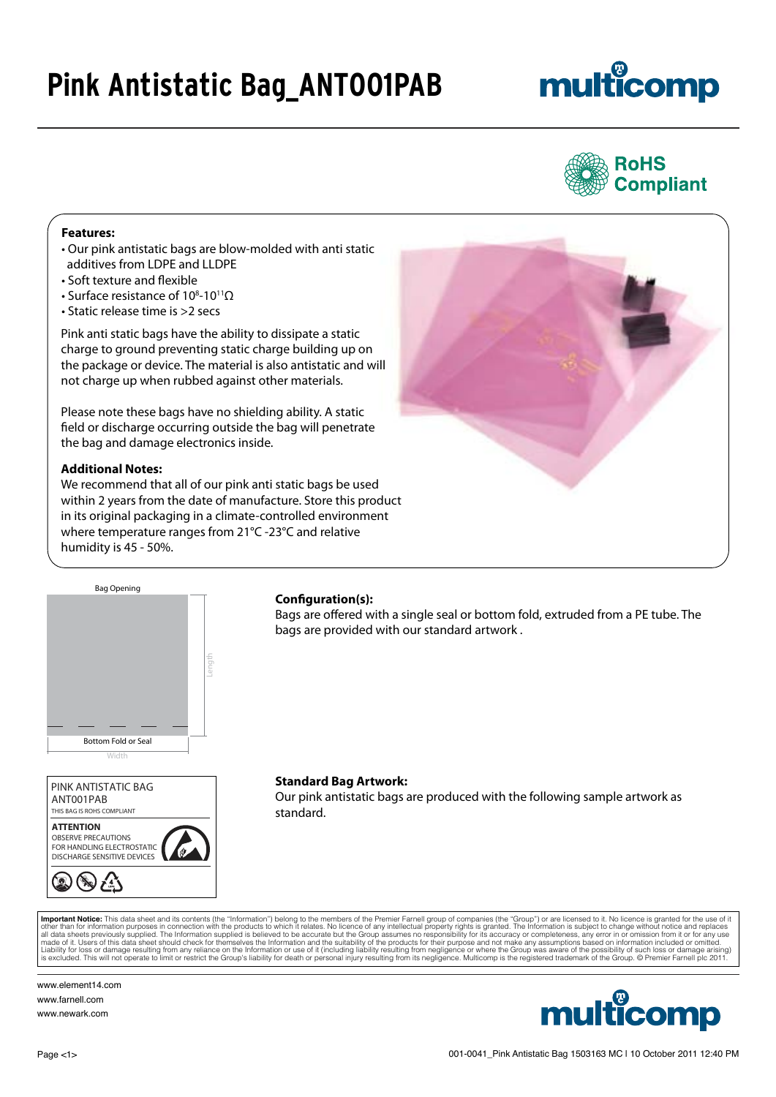### **Pink Antistatic Bag\_ANT001PAB**

# multicomp



#### **Features:**

- Our pink antistatic bags are blow-molded with anti static additives from LDPE and LLDPE
- Soft texture and flexible
- Surface resistance of 10<sup>8</sup>-10<sup>11</sup>Ω
- Static release time is >2 secs

Pink anti static bags have the ability to dissipate a static charge to ground preventing static charge building up on the package or device. The material is also antistatic and will not charge up when rubbed against other materials.

Please note these bags have no shielding ability. A static field or discharge occurring outside the bag will penetrate the bag and damage electronics inside.

#### **Additional Notes:**

We recommend that all of our pink anti static bags be used within 2 years from the date of manufacture. Store this product in its original packaging in a climate-controlled environment where temperature ranges from 21°C -23°C and relative humidity is 45 - 50%.





#### **Configuration(s):**

Bags are offered with a single seal or bottom fold, extruded from a PE tube. The bags are provided with our standard artwork .

ANT001PAB PINK ANTISTATIC BAG THIS BAG IS ROHS COMPLIANT



#### **Standard Bag Artwork:**

Our pink antistatic bags are produced with the following sample artwork as standard.

**Important Notice:** This data sheet and its contents (the "Information") belong to the members of the Premier Farnell group of companies (the "Group") or are licensed to it. No licence is granted for the use of it and the

www.element14.com www.farnell.com www.newark.com